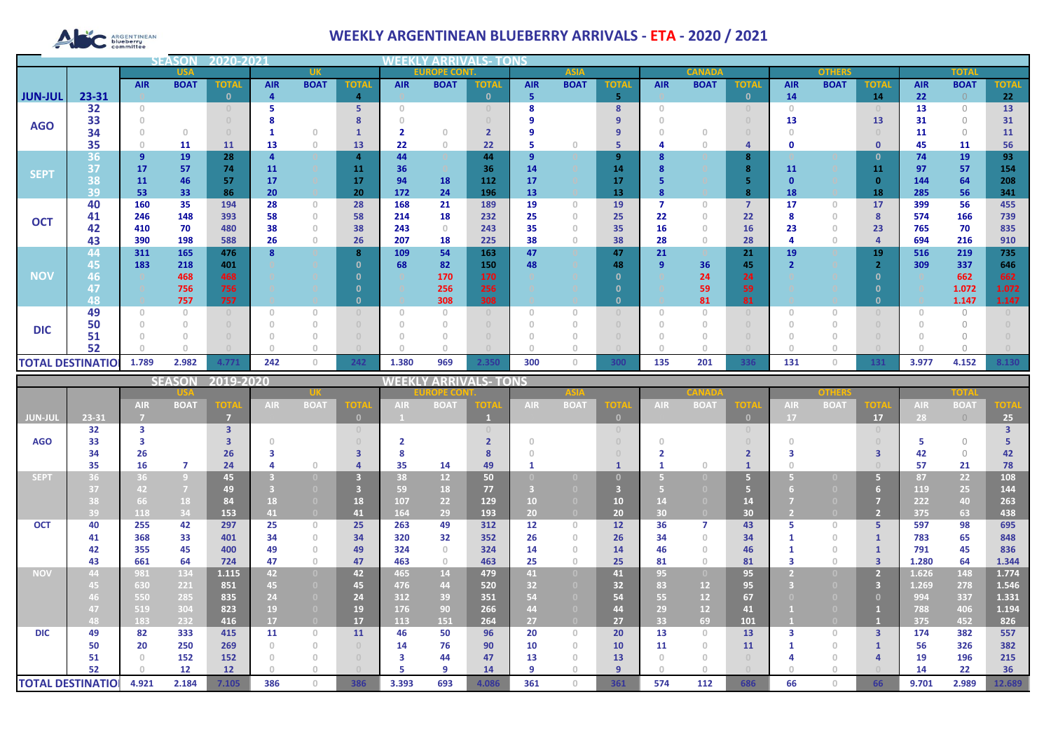# **ARGENTINEAN**

## **WEEKLY ARGENTINEAN BLUEBERRY ARRIVALS - ETA - 2020 / 2021**

|                          |          |            | <b>SEASOI</b> | 2020-202     |            |                                       |                |                                       |                     |              |            |             |              |            |               |                |            |               |              |            |              |              |
|--------------------------|----------|------------|---------------|--------------|------------|---------------------------------------|----------------|---------------------------------------|---------------------|--------------|------------|-------------|--------------|------------|---------------|----------------|------------|---------------|--------------|------------|--------------|--------------|
|                          |          |            | <b>USA</b>    |              |            | <b>UK</b>                             |                |                                       | <b>EUROPE CONT.</b> |              |            | <b>ASIA</b> |              |            | <b>CANADA</b> |                |            | <b>OTHERS</b> |              |            | <b>TOTAL</b> |              |
|                          |          | <b>AIR</b> | <b>BOAT</b>   | <b>TOTAL</b> | <b>AIR</b> | <b>BOAT</b>                           | <b>TOTAL</b>   | <b>AIR</b>                            | <b>BOAT</b>         | <b>TOTAL</b> | <b>AIR</b> | <b>BOAT</b> | <b>TOTAI</b> | <b>AIR</b> | <b>BOAT</b>   | <b>TOTAL</b>   | <b>AIR</b> | <b>BOAT</b>   | <b>TOTAL</b> | <b>AIR</b> | <b>BOAT</b>  | <b>TOTAL</b> |
| <b>JUN-JUL</b>           | 23-31    |            |               | n            |            |                                       | 4              |                                       |                     | $\mathbf{0}$ | 5          |             | 5            |            |               | $\mathbf{0}$   | 14         |               | 14           | 22         |              | 22           |
|                          | 32       | $\Omega$   |               |              |            |                                       | 5              | $\cap$                                |                     |              |            |             | 8            |            |               |                | $\cap$     |               |              | 13         | $\Omega$     | 13           |
| <b>AGO</b>               | 33       |            |               |              |            |                                       |                |                                       |                     |              |            |             |              |            |               |                | 13         |               | 13           | 31         | $\bigcap$    | 31           |
|                          | 34       |            | $\Omega$      |              |            | $\Omega$                              |                |                                       | n                   |              |            |             |              |            |               |                |            |               |              | 11         | $\Omega$     | 11           |
|                          | 35       |            | 11            | 11           | 13         | $\theta$                              | 13             | 22                                    | $\theta$            | 22           | -5         |             | 5            |            |               | 4              | Ω          |               | $\mathbf 0$  | 45         | 11           | 56           |
| <b>SEPT</b>              | 36       | 9          | 19            | 28           |            |                                       | $\overline{a}$ | 44                                    |                     | 44           | 9          |             | 9            |            |               | 8              |            |               | $\Omega$     | 74         | 19           | 93           |
|                          | 37       | 17         | 57            | 74           | 11         |                                       | 11             | 36                                    |                     | 36           | 14         |             | 14           |            |               | 8              | 11         |               | 11           | 97         | 57           | 154          |
|                          | 38       | 11         | 46            | 57           | 17         |                                       | 17             | 94                                    | 18                  | 112          | 17         |             | 17           |            |               |                |            |               | $\Omega$     | 144        | 64           | 208          |
|                          | 39       | 53         | 33            | 86           | 20         |                                       | 20             | 172                                   | 24                  | 196          | 13         |             | 13           |            |               | 8              | 18         |               | 18           | 285        | 56           | 341          |
| <b>OCT</b>               | 40       | 160        | 35            | 194          | 28         | $\circ$                               | 28             | 168                                   | 21                  | 189          | 19         | $\Omega$    | 19           |            |               | $\overline{7}$ | 17         | $\circ$       | 17           | 399        | 56           | 455          |
|                          | 41       | 246        | 148           | 393          | 58         | $\theta$                              | 58             | 214                                   | 18                  | 232          | 25         | n           | 25           | 22         |               | 22             |            | 0             | 8            | 574        | 166          | 739          |
|                          | 42       | 410        | 70            | 480          | 38         | $\begin{array}{c} 0 \\ 0 \end{array}$ | 38             | 243                                   | $\Omega$            | 243          | 35         |             | 35           | 16         |               | 16             | 23         | $\mathbf{0}$  | 23           | 765        | 70           | 835          |
|                          | 43       | 390        | 198           | 588          | 26         | $\theta$                              | 26             | 207                                   | 18                  | 225          | 38         |             | 38           | 28         |               | 28             |            | 0             |              | 694        | 216          | 910          |
|                          | 44       | 311        | 165           | 476          |            |                                       | 8              | 109                                   | 54                  | 163          | 47         |             | 47           | 21         |               | 21             | 19         |               | 19           | 516        | 219          | 735          |
|                          | 45       | 183        | 218           | 401          |            |                                       |                | 68                                    | 82                  | 150          | 48         |             | 48           | -9         | 36            | 45             |            |               |              | 309        | 337          | 646          |
| <b>NOV</b>               | 46       |            | 468           | 468          |            |                                       |                |                                       | 170                 | 170          |            |             | 0            |            | 24            | 24             |            |               |              |            | 662          | 662          |
|                          | 47       |            | 756           | 756          |            |                                       |                |                                       | 256                 | 256          |            |             |              |            | 59            | 59             |            |               | - 0          |            | 1.072        | 1.072        |
|                          | 48       |            | 757           | 757          |            |                                       |                |                                       | 308                 | 308          |            |             | O            |            | 81            | 81             |            |               | $\Omega$     |            | 1.147        | 1.147        |
|                          | 49       |            | $\Omega$      |              |            | $\Omega$                              |                | $\begin{array}{c} 0 \\ 0 \end{array}$ |                     |              | $\Omega$   |             |              |            |               |                |            |               |              |            | $\bigcap$    |              |
| <b>DIC</b>               | 50       |            |               |              |            |                                       |                |                                       |                     |              |            |             |              |            |               |                |            |               |              |            |              |              |
|                          | 51<br>52 |            |               |              |            |                                       |                |                                       |                     |              |            |             |              |            |               |                |            |               |              |            |              |              |
|                          |          |            |               |              |            |                                       |                |                                       |                     |              |            |             |              |            |               |                |            |               |              |            |              |              |
| <b>TOTAL DESTINATIOL</b> |          | 1.789      | 2.982         | 4.771        | 242        | $\mathbf{0}$                          | 242            | 1.380                                 | 969                 | 2.350        | 300        | $\circ$     | 300          | 135        | 201           | 336            | 131        | $\circ$       | 131          | 3.977      | 4.152        | 8.130        |

|                          |       |            | <b>SEASON</b>  | 2019-2020         |      |                                       |              | WEEKLY ARRIVALS- TONS |                 |             |            |             |             |            |             |                                  |            |             |                |            |             |             |
|--------------------------|-------|------------|----------------|-------------------|------|---------------------------------------|--------------|-----------------------|-----------------|-------------|------------|-------------|-------------|------------|-------------|----------------------------------|------------|-------------|----------------|------------|-------------|-------------|
|                          |       |            |                |                   |      |                                       |              | <b>ROPE CON</b>       |                 | <b>ASIA</b> |            |             |             |            |             | other                            |            | TOTA        |                |            |             |             |
|                          |       | <b>AIR</b> | <b>BOAT</b>    | <b>TOTA</b>       | AIR. | <b>BOAT</b>                           | <b>OTA</b>   | <b>AIR</b>            | <b>BOAT</b>     | ord         | <b>AIR</b> | <b>BOAT</b> | <b>TOTA</b> | <b>AIR</b> | <b>BOAT</b> | <b>TOTA</b>                      | <b>AIR</b> | <b>BOAT</b> | <b>TOTA</b>    | <b>AIR</b> | <b>BOAT</b> | <b>TOTA</b> |
| <b>JUN-JUL</b>           | 23-31 |            |                | - 7               |      |                                       | $\mathbf{0}$ |                       |                 |             |            |             | $\Box$      |            |             | $\mathbf{0}$                     | 17         |             | 17             | 28         | $\bigcirc$  | 25          |
|                          | 32    | з          |                | 3                 |      |                                       | $\cup$       |                       |                 |             |            |             |             |            |             | $\begin{array}{c} 0 \end{array}$ |            |             | $\cup$         |            |             |             |
| <b>AGO</b>               | 33    |            |                |                   |      |                                       | $\cup$       |                       |                 |             |            |             |             |            |             |                                  |            |             |                |            | $\bigcap$   |             |
|                          | 34    | 26         |                | 26                |      |                                       | 3            |                       |                 |             |            |             |             |            |             |                                  |            |             | ౩              | 42         | $\bigcirc$  | 42          |
|                          | 35    | 16         | $\overline{7}$ | 24                |      | $\cap$                                |              | 35                    | 14              | 49          |            |             |             |            |             |                                  |            |             |                | 57         | 21          | 78          |
| <b>SEPT</b>              | 36    | 36         | $\overline{9}$ | 45                |      | $\Box$                                |              | 38                    | 12 <sup>2</sup> | 50          |            |             |             |            |             | 5 <sup>1</sup>                   |            |             | 5.             | 87         | 22          | 108         |
|                          | 37    | 42         | $\overline{7}$ | 49                |      |                                       |              | 59                    | 18              | 77          |            |             |             |            |             |                                  |            |             | 6              | 119        | 25          | 144         |
|                          | 38    | 66         | 18             | 84                | 18   | $\Box$                                | 18           | 107                   | 22              | 129         | 10         |             | 10          | 14         |             | 14                               |            |             | 7              | 222        | 40          | 263         |
|                          | 39    | 118        | 34             | 153               | 41   | $\overline{0}$                        | 41           | 164                   | 29              | 193         | 20         |             | 20          | 30         |             | 30                               |            |             | $\overline{2}$ | 375        | 63          | 438         |
| <b>OCT</b>               | 40    | 255        | 42             | 297               | 25   | $\circ$                               | 25           | 263                   | 49              | 312         | 12         | $\Omega$    | 12          | 36         |             | 43                               |            | $\Omega$    | 5.             | 597        | 98          | 695         |
|                          | 41    | 368        | 33             | 401               | 34   | $\begin{array}{c} 0 \end{array}$      | 34           | 320                   | 32              | 352         | 26         | $\Omega$    | 26          | 34         | n.          | 34                               |            | $\cap$      |                | 783        | 65          | 848         |
|                          | 42    | 355        | 45             | 400               | 49   | $\Omega$                              | 49           | 324                   | $\Omega$        | 324         | 14         | $\Box$      | 14          | 46         | n.          | 46                               |            | $\Omega$    |                | 791        | 45          | 836         |
|                          | 43    | 661        | 64             | 724               | 47   | $\begin{array}{c} 0 \\ 0 \end{array}$ | 47           | 463                   | $\Omega$        | 463         | 25         | $\Box$      | 25          | 81         | $\cap$      | 81                               |            | $\cup$      | $\overline{3}$ | 1.280      | 64          | 1.344       |
| <b>NOV</b>               | 44    | 981        | 134            | 1.115             | 42   | $\overline{0}$                        | 42           | 465                   | 14              | 479         | 41         | $\Box$      | 41          | 95         |             | 95                               |            |             | 2 <sup>7</sup> | 1.626      | 148         | 1.774       |
|                          | 45    | 630        | 221            | 851               | 45   | $\overline{0}$                        | 45           | 476                   | 44              | 520         | 32         |             | 32          | 83         | 12          | 95                               |            |             | 3              | 1.269      | 278         | 1.546       |
|                          | 46    | 550        | 285            | 835               | 24   | $\overline{0}$                        | 24           | 312                   | 39              | 351         | 54         |             | 54          | 55         | 12          | 67                               |            |             | $\mathbf{0}$   | 994        | 337         | 1.331       |
|                          | 47    | 519        | 304            | 823               | 19   | $\Box$                                | 19           | 176                   | 90              | 266         | 44         |             | 44          | 29         | 12          | 41                               |            |             |                | 788        | 406         | 1.194       |
|                          | 48    | 183        | 232            | 416               | 17   | $\overline{0}$                        | 17           | 113                   | 151             | 264         | 27         |             | 27          | 33         | 69          | 101                              |            |             |                | 375        | 452         | 826         |
| <b>DIC</b>               | 49    | 82         | 333            | 415               | 11   | $\circ$                               | 11           | 46                    | 50              | 96          | 20         | $\Omega$    | 20          | 13         | $\Omega$    | 13                               | з          | $\cup$      | $\overline{3}$ | 174        | 382         | 557         |
|                          | 50    | 20         | 250            | 269               |      | $\begin{array}{c} 0 \end{array}$      | $\Box$       | 14                    | 76              | 90          | 10         | $\Omega$    | 10          | 11         | $\cap$      | 11                               |            | $\Omega$    |                | 56         | 326         | 382         |
|                          | 51    |            | 152            | 152               |      | $\begin{array}{c} 0 \end{array}$      | $\Box$       | 3                     | 44              | 47          | 13         | $\Box$      | 13          |            |             | $\Omega$                         |            |             |                | 19         | 196         | 215         |
|                          | 52    |            | 12             | $12 \overline{ }$ |      | $\cap$                                |              |                       | q               | 14          | 9          |             | $\alpha$    |            |             |                                  |            |             |                | 14         | 22          | 36          |
| <b>TOTAL DESTINATIOI</b> |       | 4.921      | 2.184          | 7.105             | 386  | $\Omega$                              | 386          | 3.393                 | 693             | 4.086       | 361        | $\Box$      | 361         | 574        | 112         | 686                              | 66         |             | 66             | 9.701      | 2.989       | 12.689      |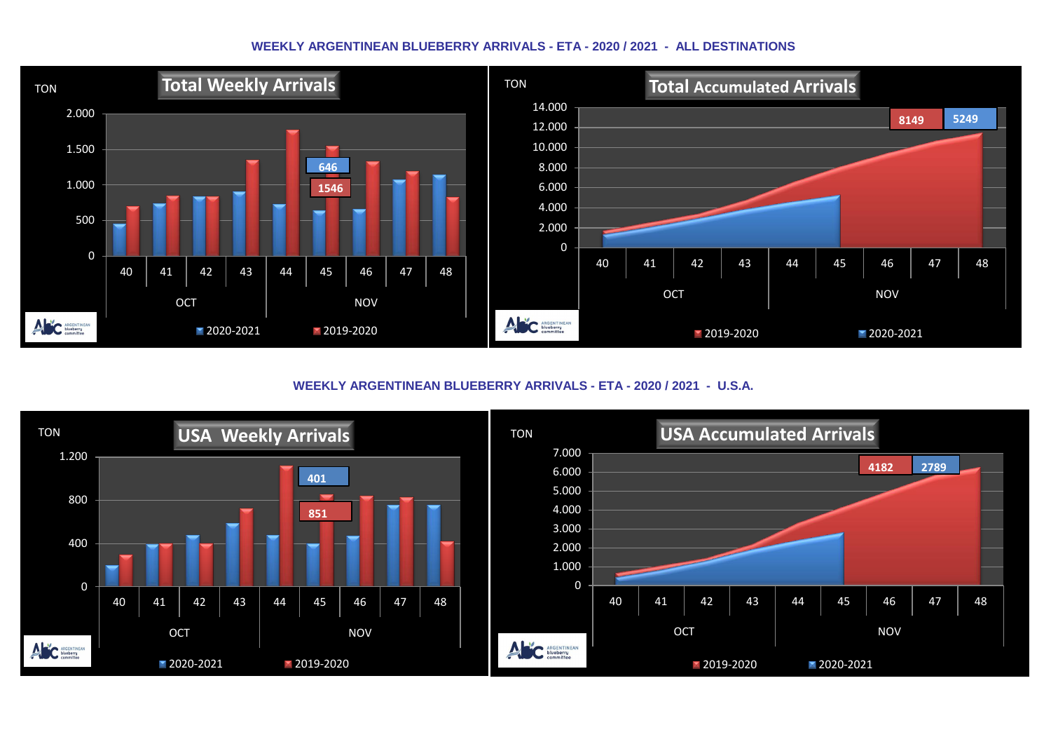#### **WEEKLY ARGENTINEAN BLUEBERRY ARRIVALS - ETA - 2020 / 2021 - ALL DESTINATIONS**



**WEEKLY ARGENTINEAN BLUEBERRY ARRIVALS - ETA - 2020 / 2021 - U.S.A.**

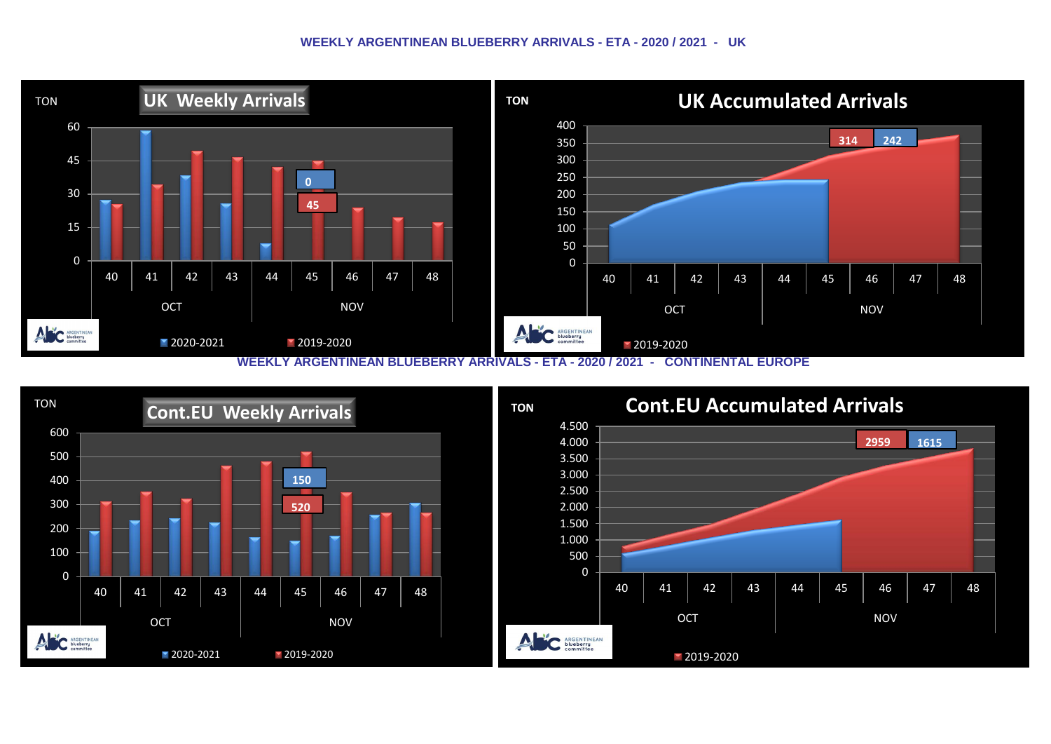#### **WEEKLY ARGENTINEAN BLUEBERRY ARRIVALS - ETA - 2020 / 2021 - UK**